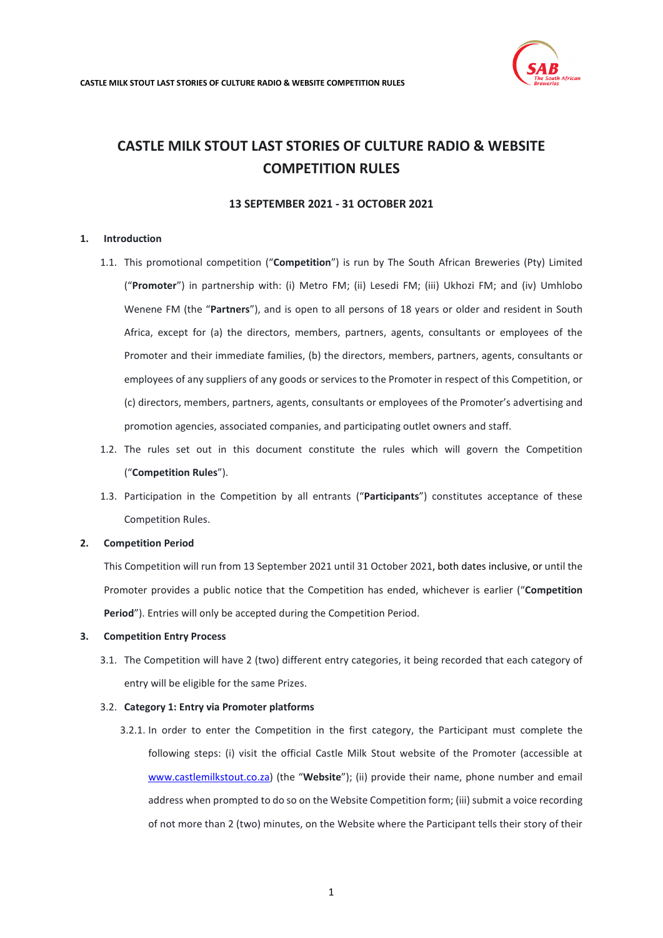# **13 SEPTEMBER 2021 - 31 OCTOBER 2021**

# <span id="page-0-0"></span>**1. Introduction**

- 1.1. This promotional competition ("**Competition**") is run by The South African Breweries (Pty) Limited ("**Promoter**") in partnership with: (i) Metro FM; (ii) Lesedi FM; (iii) Ukhozi FM; and (iv) Umhlobo Wenene FM (the "**Partners**"), and is open to all persons of 18 years or older and resident in South Africa, except for (a) the directors, members, partners, agents, consultants or employees of the Promoter and their immediate families, (b) the directors, members, partners, agents, consultants or employees of any suppliers of any goods or services to the Promoter in respect of this Competition, or (c) directors, members, partners, agents, consultants or employees of the Promoter's advertising and promotion agencies, associated companies, and participating outlet owners and staff.
- 1.2. The rules set out in this document constitute the rules which will govern the Competition ("**Competition Rules**").
- 1.3. Participation in the Competition by all entrants ("**Participants**") constitutes acceptance of these Competition Rules.

#### **2. Competition Period**

This Competition will run from 13 September 2021 until 31 October 2021, both dates inclusive, or until the Promoter provides a public notice that the Competition has ended, whichever is earlier ("**Competition Period**"). Entries will only be accepted during the Competition Period.

#### **3. Competition Entry Process**

3.1. The Competition will have 2 (two) different entry categories, it being recorded that each category of entry will be eligible for the same Prizes.

#### 3.2. **Category 1: Entry via Promoter platforms**

3.2.1. In order to enter the Competition in the first category, the Participant must complete the following steps: (i) visit the official Castle Milk Stout website of the Promoter (accessible at [www.castlemilkstout.co.za\)](http://www.castlemilkstout.co.za/) (the "**Website**"); (ii) provide their name, phone number and email address when prompted to do so on the Website Competition form; (iii) submit a voice recording of not more than 2 (two) minutes, on the Website where the Participant tells their story of their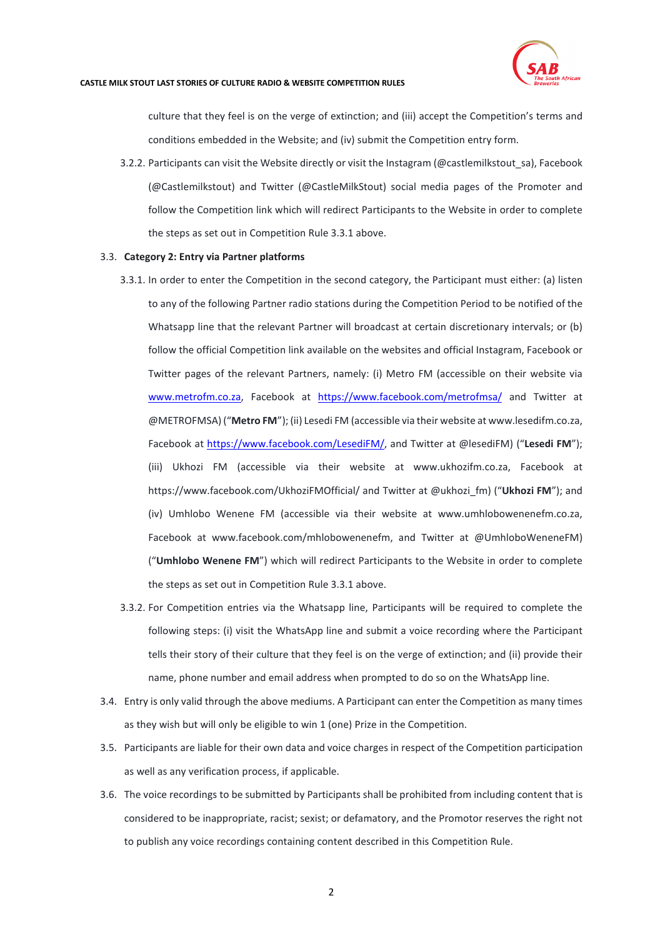

culture that they feel is on the verge of extinction; and (iii) accept the Competition's terms and conditions embedded in the Website; and (iv) submit the Competition entry form.

3.2.2. Participants can visit the Website directly or visit the Instagram (@castlemilkstout\_sa), Facebook (@Castlemilkstout) and Twitter (@CastleMilkStout) social media pages of the Promoter and follow the Competition link which will redirect Participants to the Website in order to complete the steps as set out in Competition Rule 3.3.1 above.

## 3.3. **Category 2: Entry via Partner platforms**

- 3.3.1. In order to enter the Competition in the second category, the Participant must either: (a) listen to any of the following Partner radio stations during the Competition Period to be notified of the Whatsapp line that the relevant Partner will broadcast at certain discretionary intervals; or (b) follow the official Competition link available on the websites and official Instagram, Facebook or Twitter pages of the relevant Partners, namely: (i) Metro FM (accessible on their website via [www.metrofm.co.za,](http://www.metrofm.co.za/) Facebook at <https://www.facebook.com/metrofmsa/> and Twitter at @METROFMSA) ("**Metro FM**"); (ii) Lesedi FM (accessible via their website a[t www.lesedifm.co.za,](http://www.lesedifm.co.za/) Facebook at [https://www.facebook.com/LesediFM/,](https://www.facebook.com/LesediFM/) and Twitter at @lesediFM) ("**Lesedi FM**"); (iii) Ukhozi FM (accessible via their website at [www.ukhozifm.co.za,](http://www.ukhozifm.co.za/) Facebook at [https://www.facebook.com/UkhoziFMOfficial/](https://www.facebook.com/UkhoziFMOfficial) and Twitter at @ukhozi\_fm) ("**Ukhozi FM**"); and (iv) Umhlobo Wenene FM (accessible via their website at [www.umhlobowenenefm.co.za,](http://www.umhlobowenenefm.co.za/) Facebook at [www.facebook.com/mhlobowenenefm,](http://www.facebook.com/mhlobowenenefm) and Twitter at @UmhloboWeneneFM) ("**Umhlobo Wenene FM**") which will redirect Participants to the Website in order to complete the steps as set out in Competition Rule 3.3.1 above.
- 3.3.2. For Competition entries via the Whatsapp line, Participants will be required to complete the following steps: (i) visit the WhatsApp line and submit a voice recording where the Participant tells their story of their culture that they feel is on the verge of extinction; and (ii) provide their name, phone number and email address when prompted to do so on the WhatsApp line.
- 3.4. Entry is only valid through the above mediums. A Participant can enter the Competition as many times as they wish but will only be eligible to win 1 (one) Prize in the Competition.
- 3.5. Participants are liable for their own data and voice charges in respect of the Competition participation as well as any verification process, if applicable.
- 3.6. The voice recordings to be submitted by Participants shall be prohibited from including content that is considered to be inappropriate, racist; sexist; or defamatory, and the Promotor reserves the right not to publish any voice recordings containing content described in this Competition Rule.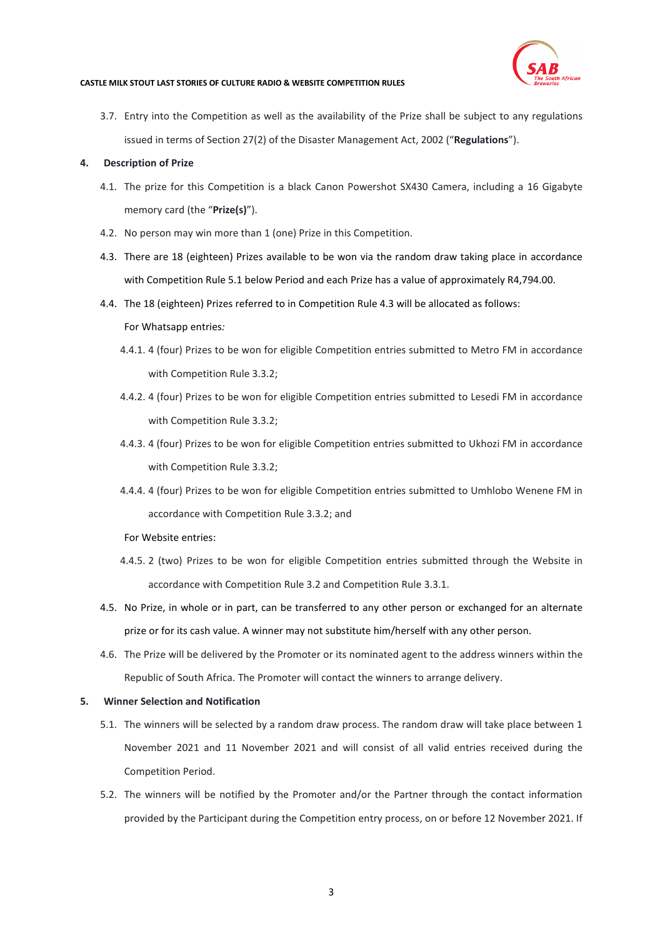

3.7. Entry into the Competition as well as the availability of the Prize shall be subject to any regulations issued in terms of Section 27(2) of the Disaster Management Act, 2002 ("**Regulations**").

## **4. Description of Prize**

- 4.1. The prize for this Competition is a black Canon Powershot SX430 Camera, including a 16 Gigabyte memory card (the "**Prize(s)**").
- 4.2. No person may win more than 1 (one) Prize in this Competition.
- 4.3. There are 18 (eighteen) Prizes available to be won via the random draw taking place in accordance with Competition Rule 5.1 below Period and each Prize has a value of approximately R4,794.00.
- 4.4. The 18 (eighteen) Prizes referred to in Competition Rule 4.3 will be allocated as follows: For Whatsapp entries*:*
	- 4.4.1. 4 (four) Prizes to be won for eligible Competition entries submitted to Metro FM in accordance with Competition Rule 3.3.2;
	- 4.4.2. 4 (four) Prizes to be won for eligible Competition entries submitted to Lesedi FM in accordance with Competition Rule 3.3.2;
	- 4.4.3. 4 (four) Prizes to be won for eligible Competition entries submitted to Ukhozi FM in accordance with Competition Rule 3.3.2;
	- 4.4.4. 4 (four) Prizes to be won for eligible Competition entries submitted to Umhlobo Wenene FM in accordance with Competition Rule 3.3.2; and
	- For Website entries:
	- 4.4.5. 2 (two) Prizes to be won for eligible Competition entries submitted through the Website in accordance with Competition Rule 3.2 and Competition Rule 3.3.1.
- 4.5. No Prize, in whole or in part, can be transferred to any other person or exchanged for an alternate prize or for its cash value. A winner may not substitute him/herself with any other person.
- 4.6. The Prize will be delivered by the Promoter or its nominated agent to the address winners within the Republic of South Africa. The Promoter will contact the winners to arrange delivery.

#### **5. Winner Selection and Notification**

- 5.1. The winners will be selected by a random draw process. The random draw will take place between 1 November 2021 and 11 November 2021 and will consist of all valid entries received during the Competition Period.
- 5.2. The winners will be notified by the Promoter and/or the Partner through the contact information provided by the Participant during the Competition entry process, on or before 12 November 2021. If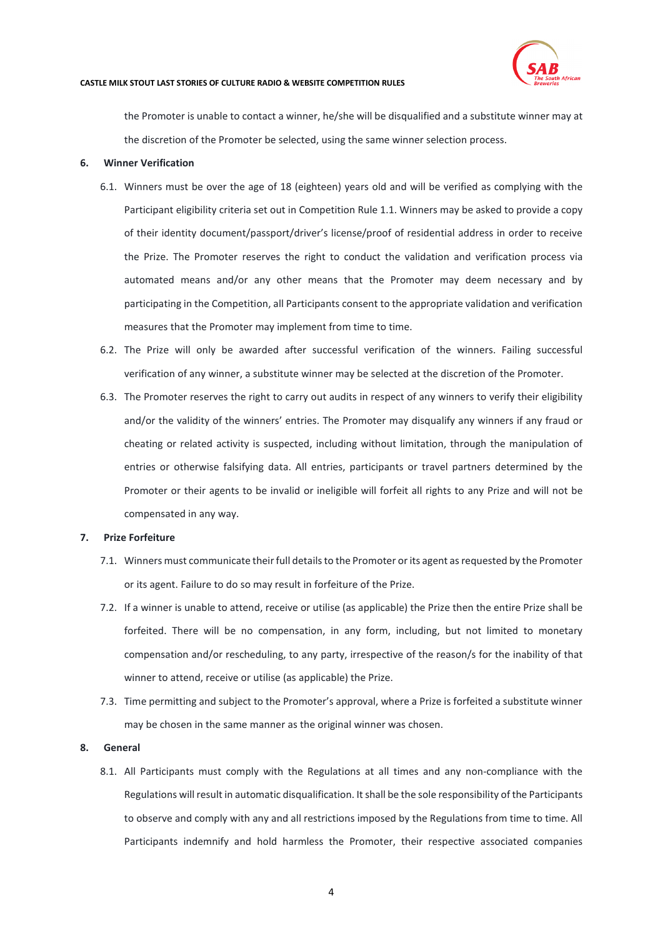

the Promoter is unable to contact a winner, he/she will be disqualified and a substitute winner may at the discretion of the Promoter be selected, using the same winner selection process.

### **6. Winner Verification**

- 6.1. Winners must be over the age of 18 (eighteen) years old and will be verified as complying with the Participant eligibility criteria set out in Competition Rul[e 1.1.](#page-0-0) Winners may be asked to provide a copy of their identity document/passport/driver's license/proof of residential address in order to receive the Prize. The Promoter reserves the right to conduct the validation and verification process via automated means and/or any other means that the Promoter may deem necessary and by participating in the Competition, all Participants consent to the appropriate validation and verification measures that the Promoter may implement from time to time.
- 6.2. The Prize will only be awarded after successful verification of the winners. Failing successful verification of any winner, a substitute winner may be selected at the discretion of the Promoter.
- 6.3. The Promoter reserves the right to carry out audits in respect of any winners to verify their eligibility and/or the validity of the winners' entries. The Promoter may disqualify any winners if any fraud or cheating or related activity is suspected, including without limitation, through the manipulation of entries or otherwise falsifying data. All entries, participants or travel partners determined by the Promoter or their agents to be invalid or ineligible will forfeit all rights to any Prize and will not be compensated in any way.

#### **7. Prize Forfeiture**

- 7.1. Winners must communicate their full details to the Promoter or its agent as requested by the Promoter or its agent. Failure to do so may result in forfeiture of the Prize.
- 7.2. If a winner is unable to attend, receive or utilise (as applicable) the Prize then the entire Prize shall be forfeited. There will be no compensation, in any form, including, but not limited to monetary compensation and/or rescheduling, to any party, irrespective of the reason/s for the inability of that winner to attend, receive or utilise (as applicable) the Prize.
- 7.3. Time permitting and subject to the Promoter's approval, where a Prize is forfeited a substitute winner may be chosen in the same manner as the original winner was chosen.

## **8. General**

8.1. All Participants must comply with the Regulations at all times and any non-compliance with the Regulations will result in automatic disqualification. It shall be the sole responsibility of the Participants to observe and comply with any and all restrictions imposed by the Regulations from time to time. All Participants indemnify and hold harmless the Promoter, their respective associated companies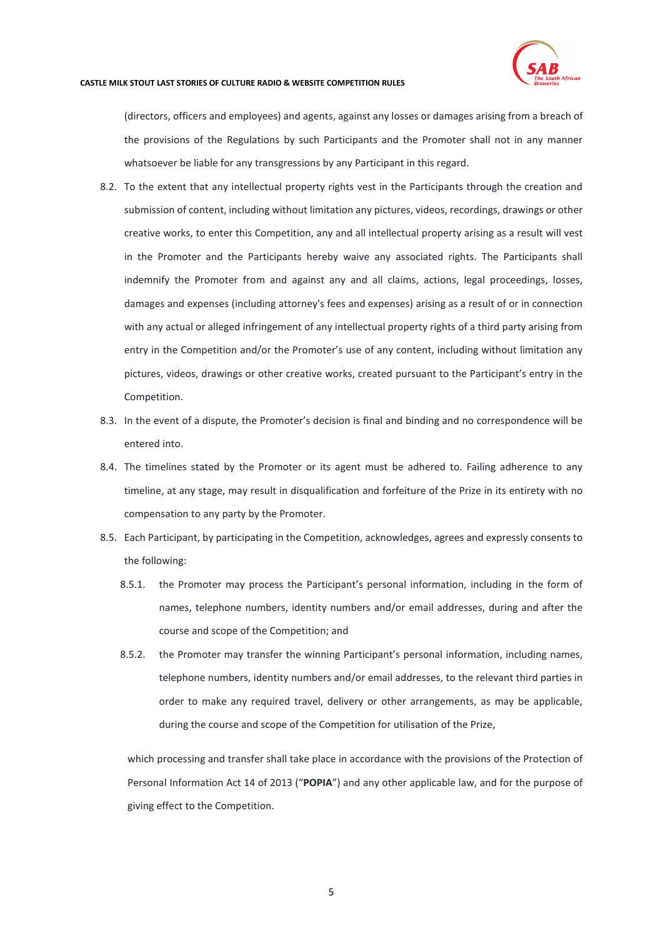

(directors, officers and employees) and agents, against any losses or damages arising from a breach of the provisions of the Regulations by such Participants and the Promoter shall not in any manner whatsoever be liable for any transgressions by any Participant in this regard.

- 8.2. To the extent that any intellectual property rights vest in the Participants through the creation and submission of content, including without limitation any pictures, videos, recordings, drawings or other creative works, to enter this Competition, any and all intellectual property arising as a result will vest in the Promoter and the Participants hereby waive any associated rights. The Participants shall indemnify the Promoter from and against any and all claims, actions, legal proceedings, losses, damages and expenses (including attorney's fees and expenses) arising as a result of or in connection with any actual or alleged infringement of any intellectual property rights of a third party arising from entry in the Competition and/or the Promoter's use of any content, including without limitation any pictures, videos, drawings or other creative works, created pursuant to the Participant's entry in the Competition.
- 8.3. In the event of a dispute, the Promoter's decision is final and binding and no correspondence will be entered into.
- 8.4. The timelines stated by the Promoter or its agent must be adhered to. Failing adherence to any timeline, at any stage, may result in disqualification and forfeiture of the Prize in its entirety with no compensation to any party by the Promoter.
- <span id="page-4-0"></span>8.5. Each Participant, by participating in the Competition, acknowledges, agrees and expressly consents to the following:
	- 8.5.1. the Promoter may process the Participant's personal information, including in the form of names, telephone numbers, identity numbers and/or email addresses, during and after the course and scope of the Competition; and
	- 8.5.2. the Promoter may transfer the winning Participant's personal information, including names, telephone numbers, identity numbers and/or email addresses, to the relevant third parties in order to make any required travel, delivery or other arrangements, as may be applicable, during the course and scope of the Competition for utilisation of the Prize,

which processing and transfer shall take place in accordance with the provisions of the Protection of Personal Information Act 14 of 2013 ("**POPIA**") and any other applicable law, and for the purpose of giving effect to the Competition.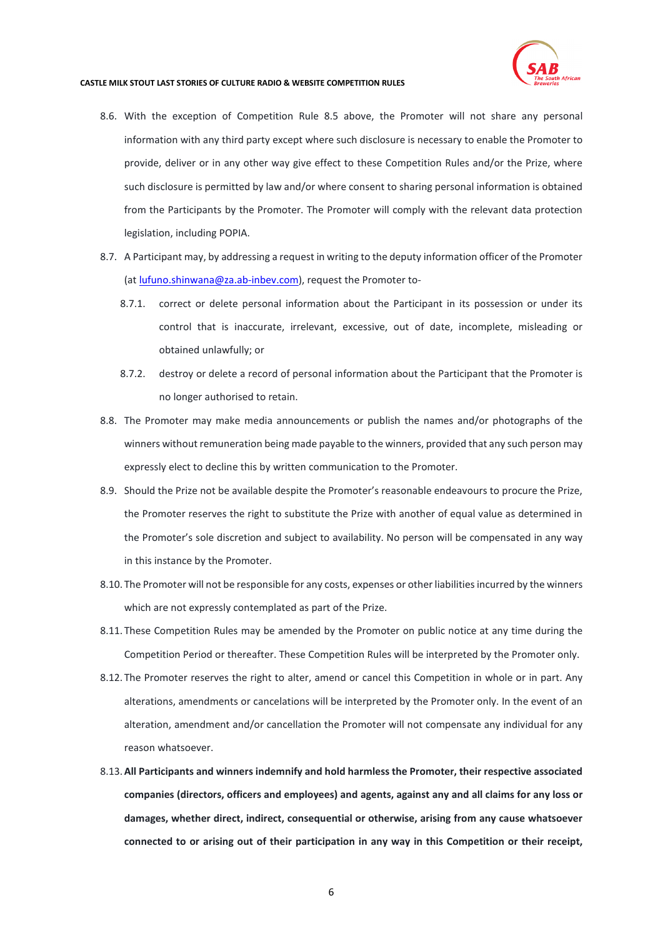

- 8.6. With the exception of Competition Rule [8.5](#page-4-0) above, the Promoter will not share any personal information with any third party except where such disclosure is necessary to enable the Promoter to provide, deliver or in any other way give effect to these Competition Rules and/or the Prize, where such disclosure is permitted by law and/or where consent to sharing personal information is obtained from the Participants by the Promoter. The Promoter will comply with the relevant data protection legislation, including POPIA.
- 8.7. A Participant may, by addressing a request in writing to the deputy information officer of the Promoter (at [lufuno.shinwana@za.ab-inbev.com\)](mailto:lufuno.shinwana@za.ab-inbev.com), request the Promoter to-
	- 8.7.1. correct or delete personal information about the Participant in its possession or under its control that is inaccurate, irrelevant, excessive, out of date, incomplete, misleading or obtained unlawfully; or
	- 8.7.2. destroy or delete a record of personal information about the Participant that the Promoter is no longer authorised to retain.
- 8.8. The Promoter may make media announcements or publish the names and/or photographs of the winners without remuneration being made payable to the winners, provided that any such person may expressly elect to decline this by written communication to the Promoter.
- 8.9. Should the Prize not be available despite the Promoter's reasonable endeavours to procure the Prize, the Promoter reserves the right to substitute the Prize with another of equal value as determined in the Promoter's sole discretion and subject to availability. No person will be compensated in any way in this instance by the Promoter.
- 8.10. The Promoter will not be responsible for any costs, expenses or other liabilities incurred by the winners which are not expressly contemplated as part of the Prize.
- 8.11. These Competition Rules may be amended by the Promoter on public notice at any time during the Competition Period or thereafter. These Competition Rules will be interpreted by the Promoter only.
- 8.12. The Promoter reserves the right to alter, amend or cancel this Competition in whole or in part. Any alterations, amendments or cancelations will be interpreted by the Promoter only. In the event of an alteration, amendment and/or cancellation the Promoter will not compensate any individual for any reason whatsoever.
- 8.13.**All Participants and winners indemnify and hold harmless the Promoter, their respective associated companies (directors, officers and employees) and agents, against any and all claims for any loss or damages, whether direct, indirect, consequential or otherwise, arising from any cause whatsoever connected to or arising out of their participation in any way in this Competition or their receipt,**